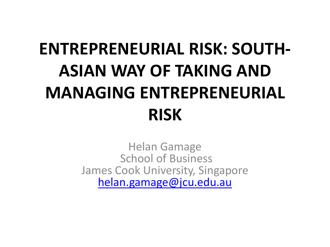# **ENTREPRENEURIAL RISK: SOUTH-ASIAN WAY OF TAKING AND MANAGING ENTREPRENEURIAL RISK**

Helan Gamage School of Business James Cook University, Singapore [helan.gamage@jcu.edu.au](mailto:helan.gamage@jcu.edu.au)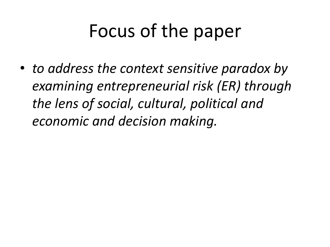# Focus of the paper

• *to address the context sensitive paradox by examining entrepreneurial risk (ER) through the lens of social, cultural, political and economic and decision making.*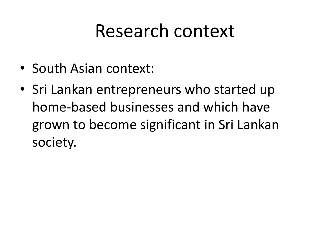### Research context

- South Asian context:
- Sri Lankan entrepreneurs who started up home-based businesses and which have grown to become significant in Sri Lankan society.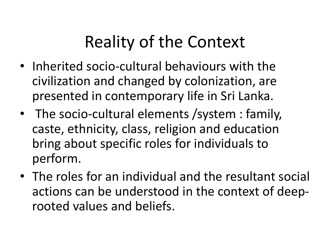### Reality of the Context

- Inherited socio-cultural behaviours with the civilization and changed by colonization, are presented in contemporary life in Sri Lanka.
- The socio-cultural elements /system : family, caste, ethnicity, class, religion and education bring about specific roles for individuals to perform.
- The roles for an individual and the resultant social actions can be understood in the context of deeprooted values and beliefs.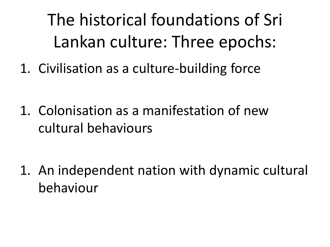The historical foundations of Sri Lankan culture: Three epochs:

1. Civilisation as a culture-building force

1. Colonisation as a manifestation of new cultural behaviours

1. An independent nation with dynamic cultural behaviour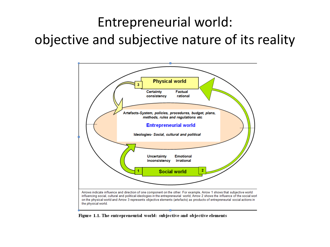#### Entrepreneurial world: objective and subjective nature of its reality



Figure 1.1. The entrepreneurial world: subjective and objective elements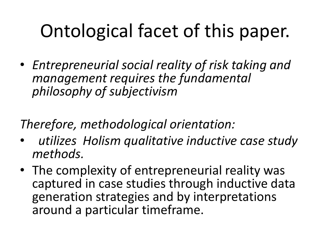# Ontological facet of this paper.

• *Entrepreneurial social reality of risk taking and management requires the fundamental philosophy of subjectivism* 

*Therefore, methodological orientation:* 

- • *utilizes Holism qualitative inductive case study methods.*
- The complexity of entrepreneurial reality was captured in case studies through inductive data generation strategies and by interpretations around a particular timeframe.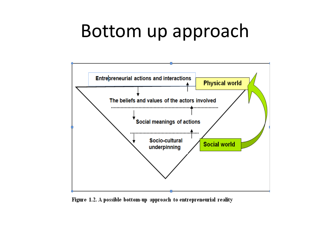### Bottom up approach



Figure 1.2. A possible bottom-up approach to entrepreneurial reality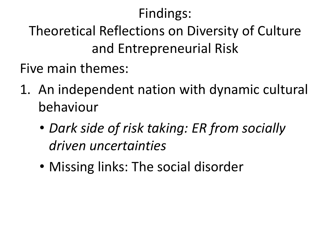#### Findings:

#### Theoretical Reflections on Diversity of Culture and Entrepreneurial Risk

Five main themes:

- 1. An independent nation with dynamic cultural behaviour
	- *Dark side of risk taking: ER from socially driven uncertainties*
	- Missing links: The social disorder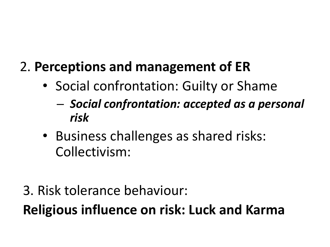#### 2. **Perceptions and management of ER**

- Social confrontation: Guilty or Shame
	- *Social confrontation: accepted as a personal risk*
- Business challenges as shared risks: Collectivism:
- 3. Risk tolerance behaviour:

**Religious influence on risk: Luck and Karma**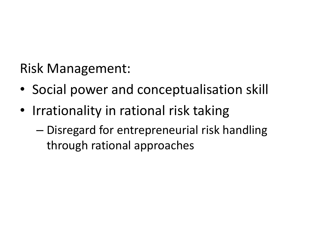Risk Management:

- Social power and conceptualisation skill
- Irrationality in rational risk taking
	- Disregard for entrepreneurial risk handling through rational approaches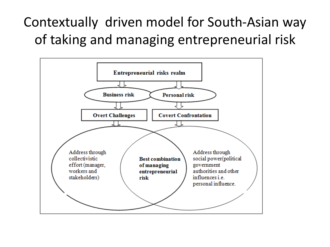#### Contextually driven model for South-Asian way of taking and managing entrepreneurial risk

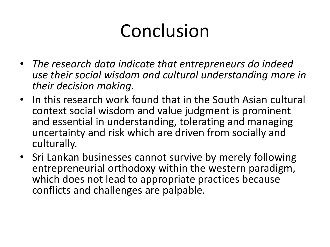# Conclusion

- *The research data indicate that entrepreneurs do indeed use their social wisdom and cultural understanding more in their decision making.*
- In this research work found that in the South Asian cultural context social wisdom and value judgment is prominent and essential in understanding, tolerating and managing uncertainty and risk which are driven from socially and culturally.
- Sri Lankan businesses cannot survive by merely following entrepreneurial orthodoxy within the western paradigm, which does not lead to appropriate practices because conflicts and challenges are palpable.